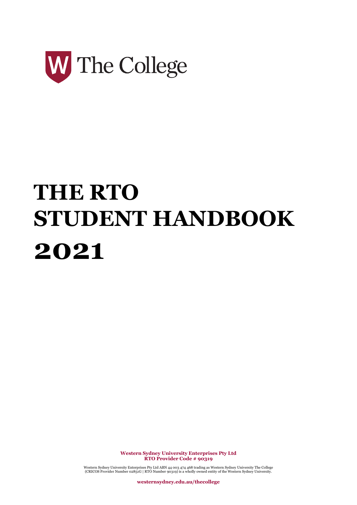

# **THE RTO STUDENT HANDBOOK 2021**

**Western Sydney University Enterprises Pty Ltd RTO Provider Code # 90319**

Western Sydney University Enterprises Pty Ltd ABN 44 003 474 468 trading as Western Sydney University The College (CRICOS Provider Number 02851G | RTO Number 90319) is a wholly owned entity of the Western Sydney University.

**westernsydney.edu.au/thecollege**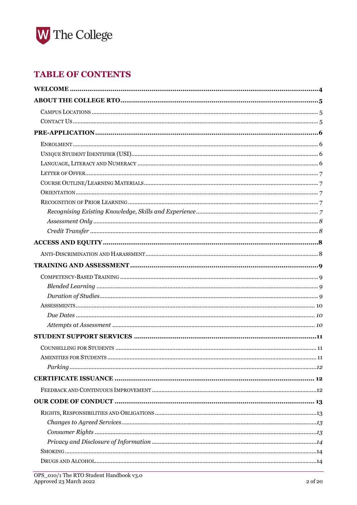

### **TABLE OF CONTENTS**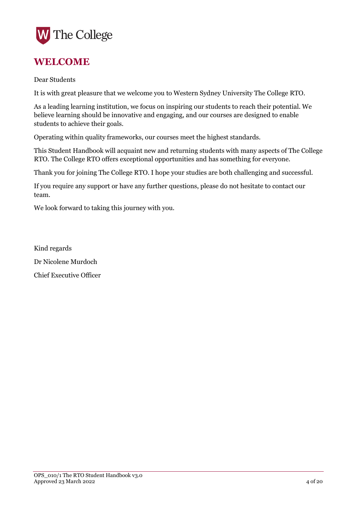

### <span id="page-3-0"></span>**WELCOME**

Dear Students

It is with great pleasure that we welcome you to Western Sydney University The College RTO.

As a leading learning institution, we focus on inspiring our students to reach their potential. We believe learning should be innovative and engaging, and our courses are designed to enable students to achieve their goals.

Operating within quality frameworks, our courses meet the highest standards.

This Student Handbook will acquaint new and returning students with many aspects of The College RTO. The College RTO offers exceptional opportunities and has something for everyone.

Thank you for joining The College RTO. I hope your studies are both challenging and successful.

If you require any support or have any further questions, please do not hesitate to contact our team.

We look forward to taking this journey with you.

Kind regards Dr Nicolene Murdoch Chief Executive Officer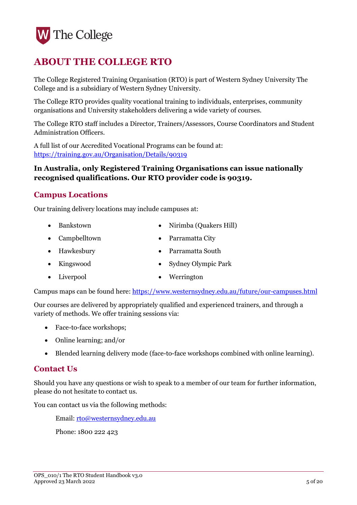

# <span id="page-4-0"></span>**ABOUT THE COLLEGE RTO**

The College Registered Training Organisation (RTO) is part of Western Sydney University The College and is a subsidiary of Western Sydney University.

The College RTO provides quality vocational training to individuals, enterprises, community organisations and University stakeholders delivering a wide variety of courses.

The College RTO staff includes a Director, Trainers/Assessors, Course Coordinators and Student Administration Officers.

A full list of our Accredited Vocational Programs can be found at: <https://training.gov.au/Organisation/Details/90319>

#### **In Australia, only Registered Training Organisations can issue nationally recognised qualifications. Our RTO provider code is 90319.**

#### <span id="page-4-1"></span>**Campus Locations**

Our training delivery locations may include campuses at:

- Bankstown Nirimba (Quakers Hill)
- Campbelltown Parramatta City
- Hawkesbury Parramatta South
- Kingswood Sydney Olympic Park
- Liverpool Werrington

Campus maps can be found here[: https://www.westernsydney.edu.au/future/our-campuses.html](https://www.westernsydney.edu.au/future/our-campuses.html)

Our courses are delivered by appropriately qualified and experienced trainers, and through a variety of methods. We offer training sessions via:

- Face-to-face workshops;
- Online learning; and/or
- Blended learning delivery mode (face-to-face workshops combined with online learning).

#### <span id="page-4-2"></span>**Contact Us**

Should you have any questions or wish to speak to a member of our team for further information, please do not hesitate to contact us.

You can contact us via the following methods:

Email: [rto@westernsydney.edu.au](mailto:rto@westernsydney.edu.au)

Phone: 1800 222 423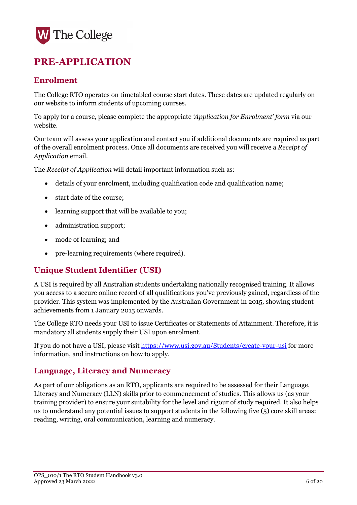# <span id="page-5-0"></span>**PRE-APPLICATION**

#### <span id="page-5-1"></span>**Enrolment**

The College RTO operates on timetabled course start dates. These dates are updated regularly on our website to inform students of upcoming courses.

To apply for a course, please complete the appropriate *'Application for Enrolment' form* via our website.

Our team will assess your application and contact you if additional documents are required as part of the overall enrolment process. Once all documents are received you will receive a *Receipt of Application* email.

The *Receipt of Application* will detail important information such as:

- details of your enrolment, including qualification code and qualification name;
- start date of the course;
- learning support that will be available to you;
- administration support;
- mode of learning; and
- pre-learning requirements (where required).

#### <span id="page-5-2"></span>**Unique Student Identifier (USI)**

A USI is required by all Australian students undertaking nationally recognised training. It allows you access to a secure online record of all qualifications you've previously gained, regardless of the provider. This system was implemented by the Australian Government in 2015, showing student achievements from 1 January 2015 onwards.

The College RTO needs your USI to issue Certificates or Statements of Attainment. Therefore, it is mandatory all students supply their USI upon enrolment.

If you do not have a USI, please visit [https://www.usi.gov.au/Students/create-your-usi](https://www.usi.gov.au/students/create-your-usi) for more information, and instructions on how to apply.

#### <span id="page-5-3"></span>**Language, Literacy and Numeracy**

As part of our obligations as an RTO, applicants are required to be assessed for their Language, Literacy and Numeracy (LLN) skills prior to commencement of studies. This allows us (as your training provider) to ensure your suitability for the level and rigour of study required. It also helps us to understand any potential issues to support students in the following five (5) core skill areas: reading, writing, oral communication, learning and numeracy.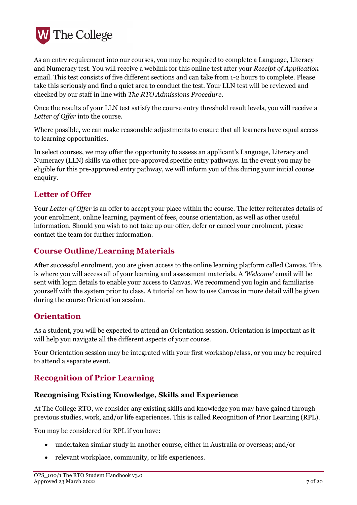

As an entry requirement into our courses, you may be required to complete a Language, Literacy and Numeracy test. You will receive a weblink for this online test after your *Receipt of Application*  email. This test consists of five different sections and can take from 1-2 hours to complete. Please take this seriously and find a quiet area to conduct the test. Your LLN test will be reviewed and checked by our staff in line with *The RTO Admissions Procedure*.

Once the results of your LLN test satisfy the course entry threshold result levels, you will receive a *Letter of Offer* into the course.

Where possible, we can make reasonable adjustments to ensure that all learners have equal access to learning opportunities.

In select courses, we may offer the opportunity to assess an applicant's Language, Literacy and Numeracy (LLN) skills via other pre-approved specific entry pathways. In the event you may be eligible for this pre-approved entry pathway, we will inform you of this during your initial course enquiry.

#### <span id="page-6-0"></span>**Letter of Offer**

Your *Letter of Offer* is an offer to accept your place within the course. The letter reiterates details of your enrolment, online learning, payment of fees, course orientation, as well as other useful information. Should you wish to not take up our offer, defer or cancel your enrolment, please contact the team for further information.

#### <span id="page-6-1"></span>**Course Outline/Learning Materials**

After successful enrolment, you are given access to the online learning platform called Canvas. This is where you will access all of your learning and assessment materials. A *'Welcome'* email will be sent with login details to enable your access to Canvas. We recommend you login and familiarise yourself with the system prior to class. A tutorial on how to use Canvas in more detail will be given during the course Orientation session.

#### <span id="page-6-2"></span>**Orientation**

As a student, you will be expected to attend an Orientation session. Orientation is important as it will help you navigate all the different aspects of your course.

Your Orientation session may be integrated with your first workshop/class, or you may be required to attend a separate event.

#### <span id="page-6-3"></span>**Recognition of Prior Learning**

#### <span id="page-6-4"></span>**Recognising Existing Knowledge, Skills and Experience**

At The College RTO, we consider any existing skills and knowledge you may have gained through previous studies, work, and/or life experiences. This is called Recognition of Prior Learning (RPL).

You may be considered for RPL if you have:

- undertaken similar study in another course, either in Australia or overseas; and/or
- relevant workplace, community, or life experiences.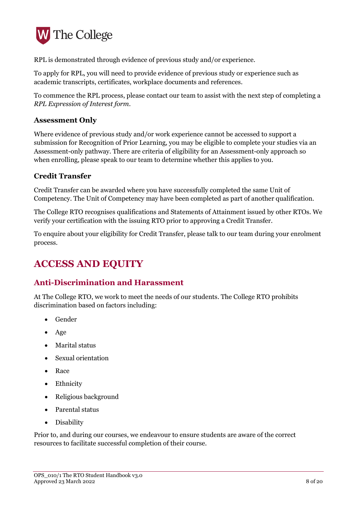

RPL is demonstrated through evidence of previous study and/or experience.

To apply for RPL, you will need to provide evidence of previous study or experience such as academic transcripts, certificates, workplace documents and references.

To commence the RPL process, please contact our team to assist with the next step of completing a *RPL Expression of Interest form*.

#### <span id="page-7-0"></span>**Assessment Only**

Where evidence of previous study and/or work experience cannot be accessed to support a submission for Recognition of Prior Learning, you may be eligible to complete your studies via an Assessment-only pathway. There are criteria of eligibility for an Assessment-only approach so when enrolling, please speak to our team to determine whether this applies to you.

#### <span id="page-7-1"></span>**Credit Transfer**

Credit Transfer can be awarded where you have successfully completed the same Unit of Competency. The Unit of Competency may have been completed as part of another qualification.

The College RTO recognises qualifications and Statements of Attainment issued by other RTOs. We verify your certification with the issuing RTO prior to approving a Credit Transfer.

To enquire about your eligibility for Credit Transfer, please talk to our team during your enrolment process.

### <span id="page-7-2"></span>**ACCESS AND EQUITY**

#### <span id="page-7-3"></span>**Anti-Discrimination and Harassment**

At The College RTO, we work to meet the needs of our students. The College RTO prohibits discrimination based on factors including:

- Gender
- Age
- Marital status
- Sexual orientation
- Race
- Ethnicity
- Religious background
- Parental status
- Disability

Prior to, and during our courses, we endeavour to ensure students are aware of the correct resources to facilitate successful completion of their course.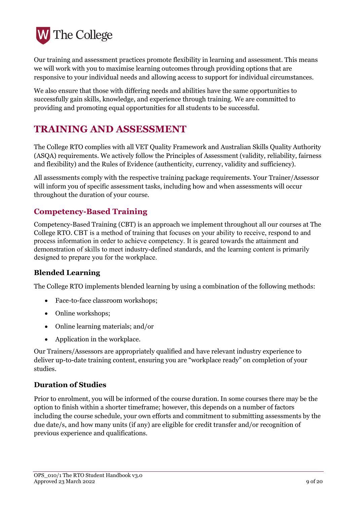

Our training and assessment practices promote flexibility in learning and assessment. This means we will work with you to maximise learning outcomes through providing options that are responsive to your individual needs and allowing access to support for individual circumstances.

We also ensure that those with differing needs and abilities have the same opportunities to successfully gain skills, knowledge, and experience through training. We are committed to providing and promoting equal opportunities for all students to be successful.

## <span id="page-8-0"></span>**TRAINING AND ASSESSMENT**

The College RTO complies with all VET Quality Framework and Australian Skills Quality Authority (ASQA) requirements. We actively follow the Principles of Assessment (validity, reliability, fairness and flexibility) and the Rules of Evidence (authenticity, currency, validity and sufficiency).

All assessments comply with the respective training package requirements. Your Trainer/Assessor will inform you of specific assessment tasks, including how and when assessments will occur throughout the duration of your course.

#### <span id="page-8-1"></span>**Competency-Based Training**

Competency-Based Training (CBT) is an approach we implement throughout all our courses at The College RTO. CBT is a method of training that focuses on your ability to receive, respond to and process information in order to achieve competency. It is geared towards the attainment and demonstration of skills to meet industry-defined standards, and the learning content is primarily designed to prepare you for the workplace.

#### <span id="page-8-2"></span>**Blended Learning**

The College RTO implements blended learning by using a combination of the following methods:

- Face-to-face classroom workshops;
- Online workshops;
- Online learning materials; and/or
- Application in the workplace.

Our Trainers/Assessors are appropriately qualified and have relevant industry experience to deliver up-to-date training content, ensuring you are "workplace ready" on completion of your studies.

#### <span id="page-8-3"></span>**Duration of Studies**

Prior to enrolment, you will be informed of the course duration. In some courses there may be the option to finish within a shorter timeframe; however, this depends on a number of factors including the course schedule, your own efforts and commitment to submitting assessments by the due date/s, and how many units (if any) are eligible for credit transfer and/or recognition of previous experience and qualifications.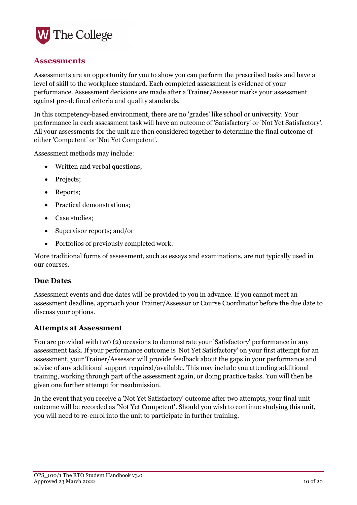

#### <span id="page-9-0"></span>**Assessments**

Assessments are an opportunity for you to show you can perform the prescribed tasks and have a level of skill to the workplace standard. Each completed assessment is evidence of your performance. Assessment decisions are made after a Trainer/Assessor marks your assessment against pre-defined criteria and quality standards.

In this competency-based environment, there are no 'grades' like school or university. Your performance in each assessment task will have an outcome of 'Satisfactory' or 'Not Yet Satisfactory'. All your assessments for the unit are then considered together to determine the final outcome of either 'Competent' or 'Not Yet Competent'.

Assessment methods may include:

- Written and verbal questions;
- Projects;
- Reports;
- Practical demonstrations;
- Case studies;
- Supervisor reports; and/or
- Portfolios of previously completed work.

More traditional forms of assessment, such as essays and examinations, are not typically used in our courses.

#### <span id="page-9-1"></span>**Due Dates**

Assessment events and due dates will be provided to you in advance. If you cannot meet an assessment deadline, approach your Trainer/Assessor or Course Coordinator before the due date to discuss your options.

#### <span id="page-9-2"></span>**Attempts at Assessment**

You are provided with two (2) occasions to demonstrate your 'Satisfactory' performance in any assessment task. If your performance outcome is 'Not Yet Satisfactory' on your first attempt for an assessment, your Trainer/Assessor will provide feedback about the gaps in your performance and advise of any additional support required/available. This may include you attending additional training, working through part of the assessment again, or doing practice tasks. You will then be given one further attempt for resubmission.

In the event that you receive a 'Not Yet Satisfactory' outcome after two attempts, your final unit outcome will be recorded as 'Not Yet Competent'. Should you wish to continue studying this unit, you will need to re-enrol into the unit to participate in further training.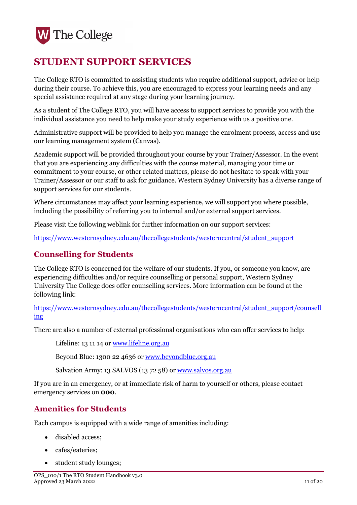# <span id="page-10-0"></span>**STUDENT SUPPORT SERVICES**

The College RTO is committed to assisting students who require additional support, advice or help during their course. To achieve this, you are encouraged to express your learning needs and any special assistance required at any stage during your learning journey.

As a student of The College RTO, you will have access to support services to provide you with the individual assistance you need to help make your study experience with us a positive one.

Administrative support will be provided to help you manage the enrolment process, access and use our learning management system (Canvas).

Academic support will be provided throughout your course by your Trainer/Assessor. In the event that you are experiencing any difficulties with the course material, managing your time or commitment to your course, or other related matters, please do not hesitate to speak with your Trainer/Assessor or our staff to ask for guidance. Western Sydney University has a diverse range of support services for our students.

Where circumstances may affect your learning experience, we will support you where possible, including the possibility of referring you to internal and/or external support services.

Please visit the following weblink for further information on our support services:

[https://www.westernsydney.edu.au/thecollegestudents/westerncentral/student\\_support](https://www.westernsydney.edu.au/thecollegestudents/westerncentral/student_support)

#### <span id="page-10-1"></span>**Counselling for Students**

The College RTO is concerned for the welfare of our students. If you, or someone you know, are experiencing difficulties and/or require counselling or personal support, Western Sydney University The College does offer counselling services. More information can be found at the following link:

[https://www.westernsydney.edu.au/thecollegestudents/westerncentral/student\\_support/counsell](https://www.westernsydney.edu.au/thecollegestudents/westerncentral/student_support/counselling) [ing](https://www.westernsydney.edu.au/thecollegestudents/westerncentral/student_support/counselling)

There are also a number of external professional organisations who can offer services to help:

Lifeline: 13 11 14 or [www.lifeline.org.au](http://www.lifeline.org.au/)

Beyond Blue: 1300 22 4636 or [www.beyondblue.org.au](http://www.beyondblue.org.au/)

Salvation Army: 13 SALVOS (13 72 58) or [www.salvos.org.au](http://www.salvos.org.au/)

If you are in an emergency, or at immediate risk of harm to yourself or others, please contact emergency services on **000**.

#### <span id="page-10-2"></span>**Amenities for Students**

Each campus is equipped with a wide range of amenities including:

- disabled access;
- cafes/eateries;
- student study lounges;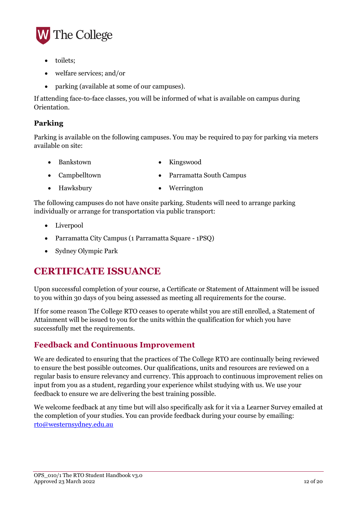

- toilets:
- welfare services; and/or
- parking (available at some of our campuses).

If attending face-to-face classes, you will be informed of what is available on campus during Orientation.

#### <span id="page-11-0"></span>**Parking**

Parking is available on the following campuses. You may be required to pay for parking via meters available on site:

- Bankstown Kingswood
- 
- Campbelltown Parramatta South Campus
	-
- Hawksbury Werrington

The following campuses do not have onsite parking. Students will need to arrange parking individually or arrange for transportation via public transport:

- Liverpool
- Parramatta City Campus (1 Parramatta Square 1PSQ)
- Sydney Olympic Park

### <span id="page-11-1"></span>**CERTIFICATE ISSUANCE**

Upon successful completion of your course, a Certificate or Statement of Attainment will be issued to you within 30 days of you being assessed as meeting all requirements for the course.

If for some reason The College RTO ceases to operate whilst you are still enrolled, a Statement of Attainment will be issued to you for the units within the qualification for which you have successfully met the requirements.

#### <span id="page-11-2"></span>**Feedback and Continuous Improvement**

We are dedicated to ensuring that the practices of The College RTO are continually being reviewed to ensure the best possible outcomes. Our qualifications, units and resources are reviewed on a regular basis to ensure relevancy and currency. This approach to continuous improvement relies on input from you as a student, regarding your experience whilst studying with us. We use your feedback to ensure we are delivering the best training possible.

We welcome feedback at any time but will also specifically ask for it via a Learner Survey emailed at the completion of your studies. You can provide feedback during your course by emailing: [rto@westernsydney.edu.au](mailto:rto@westernsydney.edu.au)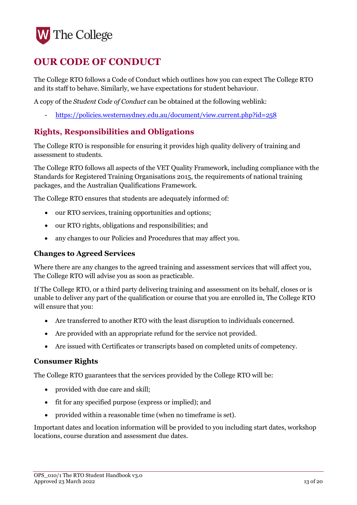# <span id="page-12-0"></span>**OUR CODE OF CONDUCT**

The College RTO follows a Code of Conduct which outlines how you can expect The College RTO and its staff to behave. Similarly, we have expectations for student behaviour.

A copy of the *Student Code of Conduct* can be obtained at the following weblink:

- <https://policies.westernsydney.edu.au/document/view.current.php?id=258>

#### <span id="page-12-1"></span>**Rights, Responsibilities and Obligations**

The College RTO is responsible for ensuring it provides high quality delivery of training and assessment to students.

The College RTO follows all aspects of the VET Quality Framework, including compliance with the Standards for Registered Training Organisations 2015, the requirements of national training packages, and the Australian Qualifications Framework.

The College RTO ensures that students are adequately informed of:

- our RTO services, training opportunities and options;
- our RTO rights, obligations and responsibilities; and
- any changes to our Policies and Procedures that may affect you.

#### <span id="page-12-2"></span>**Changes to Agreed Services**

Where there are any changes to the agreed training and assessment services that will affect you, The College RTO will advise you as soon as practicable.

If The College RTO, or a third party delivering training and assessment on its behalf, closes or is unable to deliver any part of the qualification or course that you are enrolled in, The College RTO will ensure that you:

- Are transferred to another RTO with the least disruption to individuals concerned.
- Are provided with an appropriate refund for the service not provided.
- Are issued with Certificates or transcripts based on completed units of competency.

#### <span id="page-12-3"></span>**Consumer Rights**

The College RTO guarantees that the services provided by the College RTO will be:

- provided with due care and skill;
- fit for any specified purpose (express or implied); and
- provided within a reasonable time (when no timeframe is set).

Important dates and location information will be provided to you including start dates, workshop locations, course duration and assessment due dates.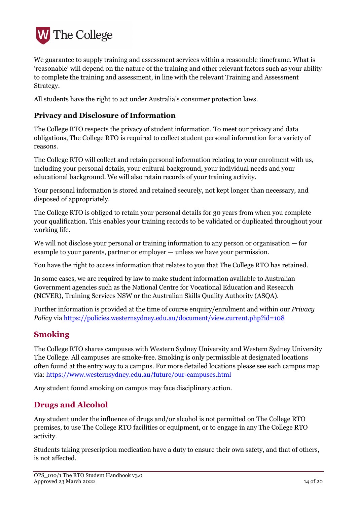

We guarantee to supply training and assessment services within a reasonable timeframe. What is 'reasonable' will depend on the nature of the training and other relevant factors such as your ability to complete the training and assessment, in line with the relevant Training and Assessment Strategy.

All students have the right to act under Australia's consumer protection laws.

#### <span id="page-13-0"></span>**Privacy and Disclosure of Information**

The College RTO respects the privacy of student information. To meet our privacy and data obligations, The College RTO is required to collect student personal information for a variety of reasons.

The College RTO will collect and retain personal information relating to your enrolment with us, including your personal details, your cultural background, your individual needs and your educational background. We will also retain records of your training activity.

Your personal information is stored and retained securely, not kept longer than necessary, and disposed of appropriately.

The College RTO is obliged to retain your personal details for 30 years from when you complete your qualification. This enables your training records to be validated or duplicated throughout your working life.

We will not disclose your personal or training information to any person or organisation — for example to your parents, partner or employer — unless we have your permission.

You have the right to access information that relates to you that The College RTO has retained.

In some cases, we are required by law to make student information available to Australian Government agencies such as the National Centre for Vocational Education and Research (NCVER), Training Services NSW or the Australian Skills Quality Authority (ASQA).

Further information is provided at the time of course enquiry/enrolment and within our *Privacy Policy* via<https://policies.westernsydney.edu.au/document/view.current.php?id=108>

#### <span id="page-13-1"></span>**Smoking**

The College RTO shares campuses with Western Sydney University and Western Sydney University The College. All campuses are smoke-free. Smoking is only permissible at designated locations often found at the entry way to a campus. For more detailed locations please see each campus map via:<https://www.westernsydney.edu.au/future/our-campuses.html>

Any student found smoking on campus may face disciplinary action.

#### <span id="page-13-2"></span>**Drugs and Alcohol**

Any student under the influence of drugs and/or alcohol is not permitted on The College RTO premises, to use The College RTO facilities or equipment, or to engage in any The College RTO activity.

Students taking prescription medication have a duty to ensure their own safety, and that of others, is not affected.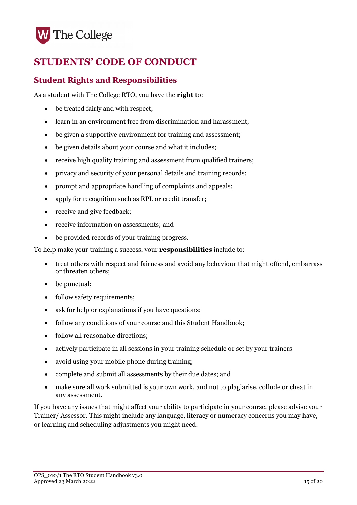# <span id="page-14-0"></span>**STUDENTS' CODE OF CONDUCT**

#### <span id="page-14-1"></span>**Student Rights and Responsibilities**

As a student with The College RTO, you have the **right** to:

- be treated fairly and with respect;
- learn in an environment free from discrimination and harassment:
- be given a supportive environment for training and assessment;
- be given details about your course and what it includes;
- receive high quality training and assessment from qualified trainers;
- privacy and security of your personal details and training records;
- prompt and appropriate handling of complaints and appeals;
- apply for recognition such as RPL or credit transfer;
- receive and give feedback;
- receive information on assessments; and
- be provided records of your training progress.

To help make your training a success, your **responsibilities** include to:

- treat others with respect and fairness and avoid any behaviour that might offend, embarrass or threaten others;
- be punctual;
- follow safety requirements;
- ask for help or explanations if you have questions;
- follow any conditions of your course and this Student Handbook;
- follow all reasonable directions;
- actively participate in all sessions in your training schedule or set by your trainers
- avoid using your mobile phone during training;
- complete and submit all assessments by their due dates; and
- make sure all work submitted is your own work, and not to plagiarise, collude or cheat in any assessment.

If you have any issues that might affect your ability to participate in your course, please advise your Trainer/ Assessor. This might include any language, literacy or numeracy concerns you may have, or learning and scheduling adjustments you might need.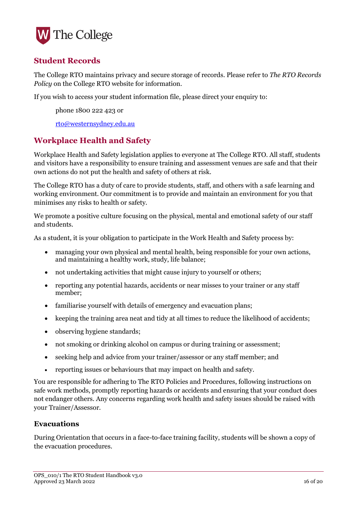

#### <span id="page-15-0"></span>**Student Records**

The College RTO maintains privacy and secure storage of records. Please refer to *The RTO Records Policy* on the College RTO website for information.

If you wish to access your student information file, please direct your enquiry to:

phone 1800 222 423 or

[rto@westernsydney.edu.au](mailto:rto@westernsydney.edu.au)

#### <span id="page-15-1"></span>**Workplace Health and Safety**

Workplace Health and Safety legislation applies to everyone at The College RTO. All staff, students and visitors have a responsibility to ensure training and assessment venues are safe and that their own actions do not put the health and safety of others at risk.

The College RTO has a duty of care to provide students, staff, and others with a safe learning and working environment. Our commitment is to provide and maintain an environment for you that minimises any risks to health or safety.

We promote a positive culture focusing on the physical, mental and emotional safety of our staff and students.

As a student, it is your obligation to participate in the Work Health and Safety process by:

- managing your own physical and mental health, being responsible for your own actions, and maintaining a healthy work, study, life balance;
- not undertaking activities that might cause injury to yourself or others;
- reporting any potential hazards, accidents or near misses to your trainer or any staff member;
- familiarise yourself with details of emergency and evacuation plans;
- keeping the training area neat and tidy at all times to reduce the likelihood of accidents:
- observing hygiene standards;
- not smoking or drinking alcohol on campus or during training or assessment;
- seeking help and advice from your trainer/assessor or any staff member; and
- reporting issues or behaviours that may impact on health and safety.

You are responsible for adhering to The RTO Policies and Procedures, following instructions on safe work methods, promptly reporting hazards or accidents and ensuring that your conduct does not endanger others. Any concerns regarding work health and safety issues should be raised with your Trainer/Assessor.

#### <span id="page-15-2"></span>**Evacuations**

During Orientation that occurs in a face-to-face training facility, students will be shown a copy of the evacuation procedures.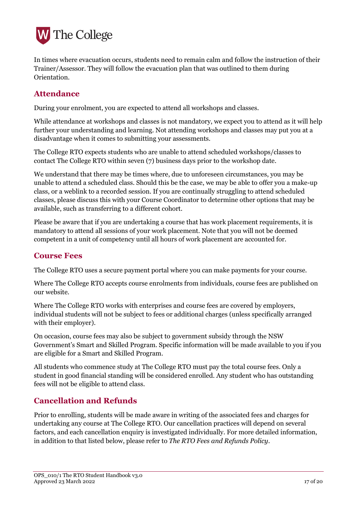

In times where evacuation occurs, students need to remain calm and follow the instruction of their Trainer/Assessor. They will follow the evacuation plan that was outlined to them during Orientation.

#### <span id="page-16-0"></span>**Attendance**

During your enrolment, you are expected to attend all workshops and classes.

While attendance at workshops and classes is not mandatory, we expect you to attend as it will help further your understanding and learning. Not attending workshops and classes may put you at a disadvantage when it comes to submitting your assessments.

The College RTO expects students who are unable to attend scheduled workshops/classes to contact The College RTO within seven (7) business days prior to the workshop date.

We understand that there may be times where, due to unforeseen circumstances, you may be unable to attend a scheduled class. Should this be the case, we may be able to offer you a make-up class, or a weblink to a recorded session. If you are continually struggling to attend scheduled classes, please discuss this with your Course Coordinator to determine other options that may be available, such as transferring to a different cohort.

Please be aware that if you are undertaking a course that has work placement requirements, it is mandatory to attend all sessions of your work placement. Note that you will not be deemed competent in a unit of competency until all hours of work placement are accounted for.

#### <span id="page-16-1"></span>**Course Fees**

The College RTO uses a secure payment portal where you can make payments for your course.

Where The College RTO accepts course enrolments from individuals, course fees are published on our website.

Where The College RTO works with enterprises and course fees are covered by employers, individual students will not be subject to fees or additional charges (unless specifically arranged with their employer).

On occasion, course fees may also be subject to government subsidy through the NSW Government's Smart and Skilled Program. Specific information will be made available to you if you are eligible for a Smart and Skilled Program.

All students who commence study at The College RTO must pay the total course fees. Only a student in good financial standing will be considered enrolled. Any student who has outstanding fees will not be eligible to attend class.

#### <span id="page-16-2"></span>**Cancellation and Refunds**

Prior to enrolling, students will be made aware in writing of the associated fees and charges for undertaking any course at The College RTO. Our cancellation practices will depend on several factors, and each cancellation enquiry is investigated individually. For more detailed information, in addition to that listed below, please refer to *The RTO Fees and Refunds Policy*.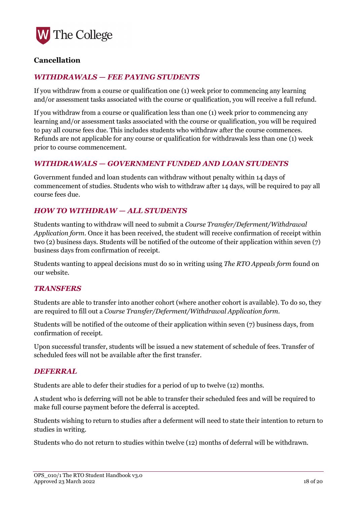

#### <span id="page-17-0"></span>**Cancellation**

#### <span id="page-17-1"></span>*WITHDRAWALS — FEE PAYING STUDENTS*

If you withdraw from a course or qualification one (1) week prior to commencing any learning and/or assessment tasks associated with the course or qualification, you will receive a full refund.

If you withdraw from a course or qualification less than one (1) week prior to commencing any learning and/or assessment tasks associated with the course or qualification, you will be required to pay all course fees due. This includes students who withdraw after the course commences. Refunds are not applicable for any course or qualification for withdrawals less than one (1) week prior to course commencement.

#### <span id="page-17-2"></span>*WITHDRAWALS — GOVERNMENT FUNDED AND LOAN STUDENTS*

Government funded and loan students can withdraw without penalty within 14 days of commencement of studies. Students who wish to withdraw after 14 days, will be required to pay all course fees due.

#### <span id="page-17-3"></span>*HOW TO WITHDRAW — ALL STUDENTS*

Students wanting to withdraw will need to submit a *Course Transfer/Deferment/Withdrawal Application form*. Once it has been received, the student will receive confirmation of receipt within two (2) business days. Students will be notified of the outcome of their application within seven (7) business days from confirmation of receipt.

Students wanting to appeal decisions must do so in writing using *The RTO Appeals form* found on our website.

#### <span id="page-17-4"></span>*TRANSFERS*

Students are able to transfer into another cohort (where another cohort is available). To do so, they are required to fill out a *Course Transfer/Deferment/Withdrawal Application form*.

Students will be notified of the outcome of their application within seven (7) business days, from confirmation of receipt.

Upon successful transfer, students will be issued a new statement of schedule of fees. Transfer of scheduled fees will not be available after the first transfer.

#### <span id="page-17-5"></span>*DEFERRAL*

Students are able to defer their studies for a period of up to twelve (12) months.

A student who is deferring will not be able to transfer their scheduled fees and will be required to make full course payment before the deferral is accepted.

Students wishing to return to studies after a deferment will need to state their intention to return to studies in writing.

Students who do not return to studies within twelve (12) months of deferral will be withdrawn.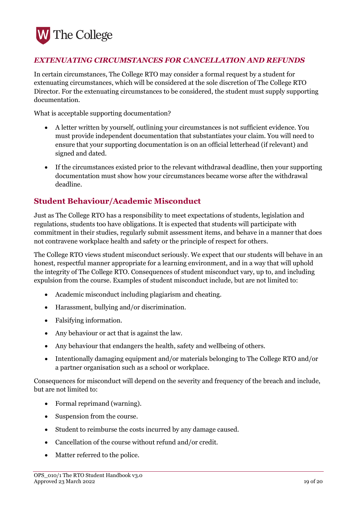

#### <span id="page-18-0"></span>*EXTENUATING CIRCUMSTANCES FOR CANCELLATION AND REFUNDS*

In certain circumstances, The College RTO may consider a formal request by a student for extenuating circumstances, which will be considered at the sole discretion of The College RTO Director. For the extenuating circumstances to be considered, the student must supply supporting documentation.

What is acceptable supporting documentation?

- A letter written by yourself, outlining your circumstances is not sufficient evidence. You must provide independent documentation that substantiates your claim. You will need to ensure that your supporting documentation is on an official letterhead (if relevant) and signed and dated.
- If the circumstances existed prior to the relevant withdrawal deadline, then your supporting documentation must show how your circumstances became worse after the withdrawal deadline.

#### <span id="page-18-1"></span>**Student Behaviour/Academic Misconduct**

Just as The College RTO has a responsibility to meet expectations of students, legislation and regulations, students too have obligations. It is expected that students will participate with commitment in their studies, regularly submit assessment items, and behave in a manner that does not contravene workplace health and safety or the principle of respect for others.

The College RTO views student misconduct seriously. We expect that our students will behave in an honest, respectful manner appropriate for a learning environment, and in a way that will uphold the integrity of The College RTO. Consequences of student misconduct vary, up to, and including expulsion from the course. Examples of student misconduct include, but are not limited to:

- Academic misconduct including plagiarism and cheating.
- Harassment, bullying and/or discrimination.
- Falsifying information.
- Any behaviour or act that is against the law.
- Any behaviour that endangers the health, safety and wellbeing of others.
- Intentionally damaging equipment and/or materials belonging to The College RTO and/or a partner organisation such as a school or workplace.

Consequences for misconduct will depend on the severity and frequency of the breach and include, but are not limited to:

- Formal reprimand (warning).
- Suspension from the course.
- Student to reimburse the costs incurred by any damage caused.
- Cancellation of the course without refund and/or credit.
- Matter referred to the police.